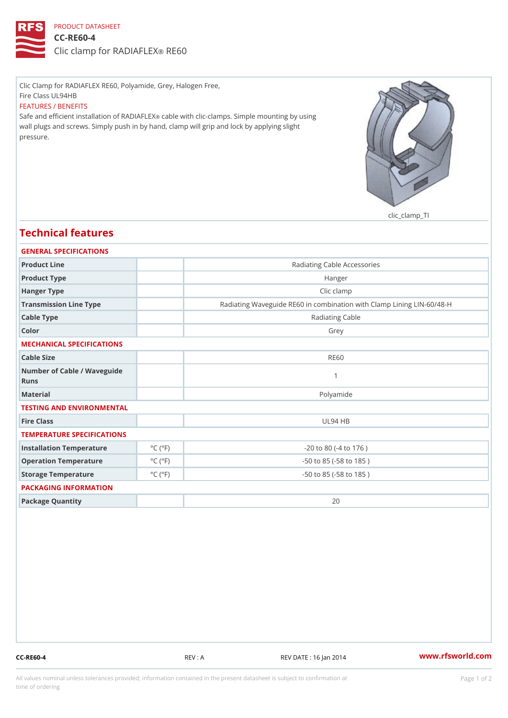## PRODUCT DATASHEET

CC-RE60-4 Clic clamp for RADRIEGOLEX

Clic Clamp for RADIAFLEX RE60, Polyamide, Grey, Halogen Free, Fire Class UL94HB FEATURES / BENEFITS Safe and efficient installation celo IRe An Dilth Foll Exclamps. Simple mounting by using wall plugs and screws. Simply push in by hand, clamp will grip and lock by applying slight pressure.

clic\_clamp\_TI

## Technical features

| GENERAL SPECIFICATIONS               |                             |                                                          |  |
|--------------------------------------|-----------------------------|----------------------------------------------------------|--|
| Product Line                         |                             | Radiating Cable Accessories                              |  |
| Product Type                         |                             | Hanger                                                   |  |
| Hanger Type                          |                             | Clic clamp                                               |  |
| Transmission Line Type               |                             | Radiating Waveguide RE60 in combination with Clamp Linin |  |
| Cable Type                           |                             | Radiating Cable                                          |  |
| Color                                |                             | Grey                                                     |  |
| MECHANICAL SPECIFICATIONS            |                             |                                                          |  |
| Cable Size                           |                             | <b>RE60</b>                                              |  |
| Number of Cable / Wave guide<br>Runs |                             |                                                          |  |
| Material                             |                             | Polyamide                                                |  |
| TESTING AND ENVIRONMENTAL            |                             |                                                          |  |
| Fire Class                           |                             | <b>UL94 HB</b>                                           |  |
| TEMPERATURE SPECIFICATIONS           |                             |                                                          |  |
| Installation Temperature             | $^{\circ}$ C ( $^{\circ}$ F | $-20$ to 80 ( $-4$ to 176)                               |  |
| Operation Temperature                | $^{\circ}$ C ( $^{\circ}$ F | $-50$ to $85$ ( $-58$ to $185$ )                         |  |
| Storage Temperature                  | $^{\circ}$ C ( $^{\circ}$ F | $-50$ to $85$ ( $-58$ to $185$ )                         |  |
| PACKAGING INFORMATION                |                             |                                                          |  |
| Package Quantity                     |                             | 20                                                       |  |

CC-RE60-4 REV : A REV : A REV DATE : 16 Jan 2014 WWW.rfsworld.com